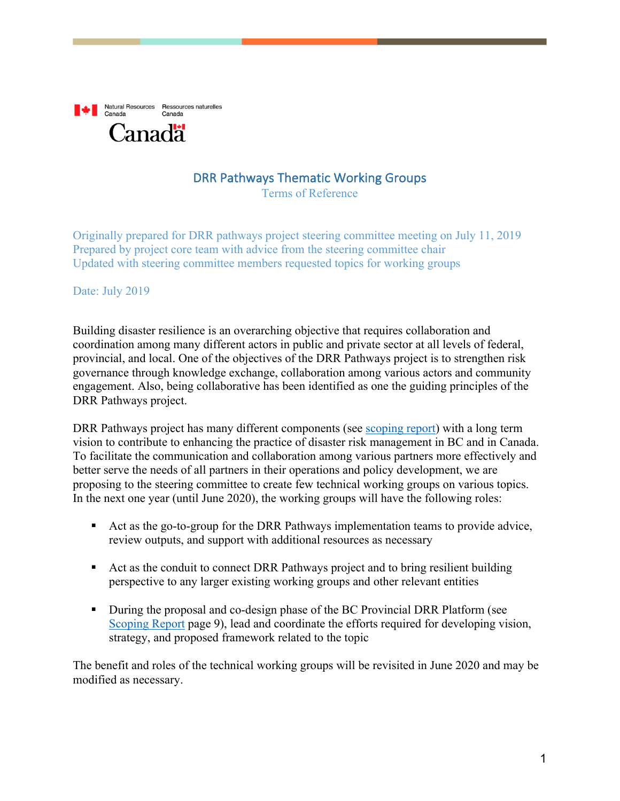

## DRR Pathways Thematic Working Groups

Terms of Reference

Originally prepared for DRR pathways project steering committee meeting on July 11, 2019 Prepared by project core team with advice from the steering committee chair Updated with steering committee members requested topics for working groups

#### Date: July 2019

Building disaster resilience is an overarching objective that requires collaboration and coordination among many different actors in public and private sector at all levels of federal, provincial, and local. One of the objectives of the DRR Pathways project is to strengthen risk governance through knowledge exchange, collaboration among various actors and community engagement. Also, being collaborative has been identified as one the guiding principles of the DRR Pathways project.

DRR Pathways project has many different components (see scoping report) with a long term vision to contribute to enhancing the practice of disaster risk management in BC and in Canada. To facilitate the communication and collaboration among various partners more effectively and better serve the needs of all partners in their operations and policy development, we are proposing to the steering committee to create few technical working groups on various topics. In the next one year (until June 2020), the working groups will have the following roles:

- Act as the go-to-group for the DRR Pathways implementation teams to provide advice, review outputs, and support with additional resources as necessary
- Act as the conduit to connect DRR Pathways project and to bring resilient building perspective to any larger existing working groups and other relevant entities
- During the proposal and co-design phase of the BC Provincial DRR Platform (see Scoping Report page 9), lead and coordinate the efforts required for developing vision, strategy, and proposed framework related to the topic

The benefit and roles of the technical working groups will be revisited in June 2020 and may be modified as necessary.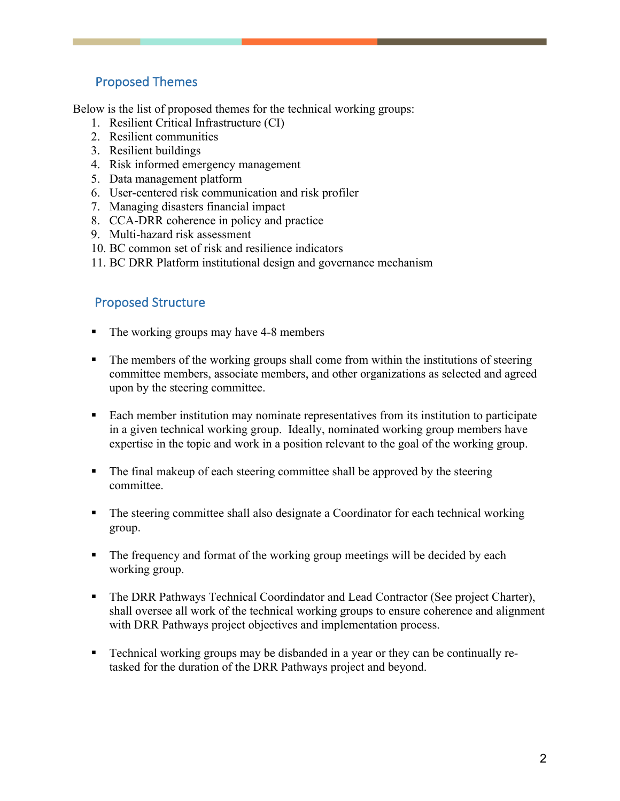## Proposed Themes

Below is the list of proposed themes for the technical working groups:

- 1. Resilient Critical Infrastructure (CI)
- 2. Resilient communities
- 3. Resilient buildings
- 4. Risk informed emergency management
- 5. Data management platform
- 6. User-centered risk communication and risk profiler
- 7. Managing disasters financial impact
- 8. CCA-DRR coherence in policy and practice
- 9. Multi-hazard risk assessment
- 10. BC common set of risk and resilience indicators
- 11. BC DRR Platform institutional design and governance mechanism

### Proposed Structure

- The working groups may have 4-8 members
- The members of the working groups shall come from within the institutions of steering committee members, associate members, and other organizations as selected and agreed upon by the steering committee.
- Each member institution may nominate representatives from its institution to participate in a given technical working group. Ideally, nominated working group members have expertise in the topic and work in a position relevant to the goal of the working group.
- The final makeup of each steering committee shall be approved by the steering committee.
- The steering committee shall also designate a Coordinator for each technical working group.
- The frequency and format of the working group meetings will be decided by each working group.
- The DRR Pathways Technical Coordindator and Lead Contractor (See project Charter), shall oversee all work of the technical working groups to ensure coherence and alignment with DRR Pathways project objectives and implementation process.
- § Technical working groups may be disbanded in a year or they can be continually retasked for the duration of the DRR Pathways project and beyond.